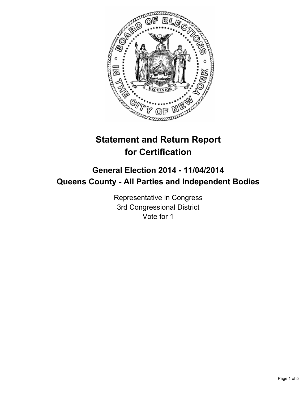

# **Statement and Return Report for Certification**

## **General Election 2014 - 11/04/2014 Queens County - All Parties and Independent Bodies**

Representative in Congress 3rd Congressional District Vote for 1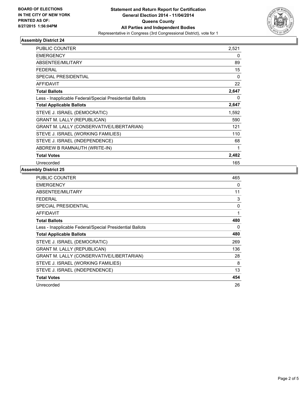

### **Assembly District 24**

| <b>PUBLIC COUNTER</b>                                    | 2,521    |
|----------------------------------------------------------|----------|
| <b>EMERGENCY</b>                                         | 0        |
| <b>ABSENTEE/MILITARY</b>                                 | 89       |
| <b>FEDERAL</b>                                           | 15       |
| <b>SPECIAL PRESIDENTIAL</b>                              | $\Omega$ |
| <b>AFFIDAVIT</b>                                         | 22       |
| <b>Total Ballots</b>                                     | 2,647    |
| Less - Inapplicable Federal/Special Presidential Ballots | 0        |
| <b>Total Applicable Ballots</b>                          | 2,647    |
| STEVE J. ISRAEL (DEMOCRATIC)                             | 1,592    |
| <b>GRANT M. LALLY (REPUBLICAN)</b>                       | 590      |
| GRANT M. LALLY (CONSERVATIVE/LIBERTARIAN)                | 121      |
| STEVE J. ISRAEL (WORKING FAMILIES)                       | 110      |
| STEVE J. ISRAEL (INDEPENDENCE)                           | 68       |
| ABDREW B RAMNAUTH (WRITE-IN)                             | 1        |
| <b>Total Votes</b>                                       | 2,482    |
| Unrecorded                                               | 165      |

## **Assembly District 25**

| <b>PUBLIC COUNTER</b>                                    | 465 |
|----------------------------------------------------------|-----|
| <b>EMERGENCY</b>                                         | 0   |
| ABSENTEE/MILITARY                                        | 11  |
| FEDERAL                                                  | 3   |
| <b>SPECIAL PRESIDENTIAL</b>                              | 0   |
| <b>AFFIDAVIT</b>                                         | 1   |
| <b>Total Ballots</b>                                     | 480 |
| Less - Inapplicable Federal/Special Presidential Ballots | 0   |
| <b>Total Applicable Ballots</b>                          | 480 |
| STEVE J. ISRAEL (DEMOCRATIC)                             | 269 |
| <b>GRANT M. LALLY (REPUBLICAN)</b>                       | 136 |
| <b>GRANT M. LALLY (CONSERVATIVE/LIBERTARIAN)</b>         | 28  |
| STEVE J. ISRAEL (WORKING FAMILIES)                       | 8   |
| STEVE J. ISRAEL (INDEPENDENCE)                           | 13  |
| <b>Total Votes</b>                                       | 454 |
| Unrecorded                                               | 26  |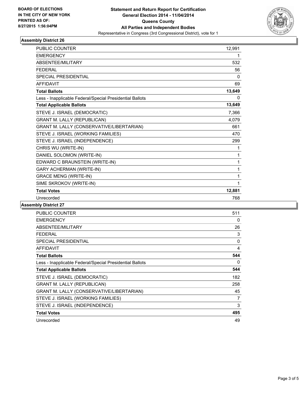

## **Assembly District 26**

| <b>PUBLIC COUNTER</b>                                    | 12.991 |
|----------------------------------------------------------|--------|
| <b>EMERGENCY</b>                                         |        |
| ABSENTEE/MILITARY                                        | 532    |
| <b>FFDFRAL</b>                                           | 56     |
| <b>SPECIAL PRESIDENTIAL</b>                              | 0      |
| <b>AFFIDAVIT</b>                                         | 69     |
| <b>Total Ballots</b>                                     | 13,649 |
| Less - Inapplicable Federal/Special Presidential Ballots | 0      |
| <b>Total Applicable Ballots</b>                          | 13,649 |
| STEVE J. ISRAEL (DEMOCRATIC)                             | 7,366  |
| <b>GRANT M. LALLY (REPUBLICAN)</b>                       | 4,079  |
| GRANT M. LALLY (CONSERVATIVE/LIBERTARIAN)                | 661    |
| STEVE J. ISRAEL (WORKING FAMILIES)                       | 470    |
| STEVE J. ISRAEL (INDEPENDENCE)                           | 299    |
| CHRIS WU (WRITE-IN)                                      | 1      |
| DANIEL SOLOMON (WRITE-IN)                                | 1      |
| EDWARD C BRAUNSTEIN (WRITE-IN)                           | 1      |
| <b>GARY ACHERMAN (WRITE-IN)</b>                          | 1      |
| <b>GRACE MENG (WRITE-IN)</b>                             | 1      |
| SIME SKROKOV (WRITE-IN)                                  | 1      |
| <b>Total Votes</b>                                       | 12,881 |
| Unrecorded                                               | 768    |

## **Assembly District 27**

| PUBLIC COUNTER                                           | 511 |
|----------------------------------------------------------|-----|
| <b>EMERGENCY</b>                                         | 0   |
| ABSENTEE/MILITARY                                        | 26  |
| <b>FEDERAL</b>                                           | 3   |
| <b>SPECIAL PRESIDENTIAL</b>                              | 0   |
| <b>AFFIDAVIT</b>                                         | 4   |
| <b>Total Ballots</b>                                     | 544 |
| Less - Inapplicable Federal/Special Presidential Ballots | 0   |
| <b>Total Applicable Ballots</b>                          | 544 |
| STEVE J. ISRAEL (DEMOCRATIC)                             | 182 |
| <b>GRANT M. LALLY (REPUBLICAN)</b>                       | 258 |
| GRANT M. LALLY (CONSERVATIVE/LIBERTARIAN)                | 45  |
| STEVE J. ISRAEL (WORKING FAMILIES)                       | 7   |
| STEVE J. ISRAEL (INDEPENDENCE)                           | 3   |
| <b>Total Votes</b>                                       | 495 |
| Unrecorded                                               | 49  |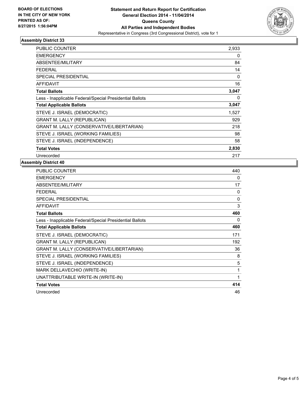

## **Assembly District 33**

| <b>PUBLIC COUNTER</b>                                    | 2,933    |
|----------------------------------------------------------|----------|
| <b>EMERGENCY</b>                                         | 0        |
| ABSENTEE/MILITARY                                        | 84       |
| <b>FEDERAL</b>                                           | 14       |
| SPECIAL PRESIDENTIAL                                     | 0        |
| <b>AFFIDAVIT</b>                                         | 16       |
| <b>Total Ballots</b>                                     | 3,047    |
| Less - Inapplicable Federal/Special Presidential Ballots | $\Omega$ |
| <b>Total Applicable Ballots</b>                          | 3,047    |
| STEVE J. ISRAEL (DEMOCRATIC)                             | 1,527    |
| <b>GRANT M. LALLY (REPUBLICAN)</b>                       | 929      |
| <b>GRANT M. LALLY (CONSERVATIVE/LIBERTARIAN)</b>         | 218      |
| STEVE J. ISRAEL (WORKING FAMILIES)                       | 98       |
| STEVE J. ISRAEL (INDEPENDENCE)                           | 58       |
| <b>Total Votes</b>                                       | 2,830    |
| Unrecorded                                               | 217      |

### **Assembly District 40**

| <b>PUBLIC COUNTER</b>                                    | 440      |
|----------------------------------------------------------|----------|
| <b>EMERGENCY</b>                                         | 0        |
| ABSENTEE/MILITARY                                        | 17       |
| <b>FEDERAL</b>                                           | 0        |
| <b>SPECIAL PRESIDENTIAL</b>                              | $\Omega$ |
| <b>AFFIDAVIT</b>                                         | 3        |
| <b>Total Ballots</b>                                     | 460      |
| Less - Inapplicable Federal/Special Presidential Ballots | 0        |
| <b>Total Applicable Ballots</b>                          | 460      |
| STEVE J. ISRAEL (DEMOCRATIC)                             | 171      |
| <b>GRANT M. LALLY (REPUBLICAN)</b>                       | 192      |
| GRANT M. LALLY (CONSERVATIVE/LIBERTARIAN)                | 36       |
| STEVE J. ISRAEL (WORKING FAMILIES)                       | 8        |
| STEVE J. ISRAEL (INDEPENDENCE)                           | 5        |
| MARK DELLAVECHIO (WRITE-IN)                              | 1        |
| UNATTRIBUTABLE WRITE-IN (WRITE-IN)                       | 1        |
| <b>Total Votes</b>                                       | 414      |
| Unrecorded                                               | 46       |